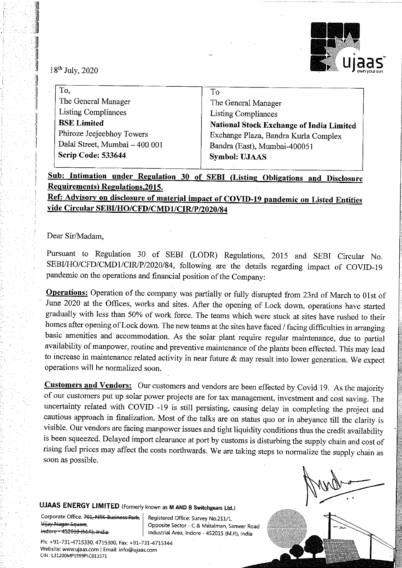

 $18<sup>th</sup>$  July, 2020

| lğ                                                                                                                                                                                            |
|-----------------------------------------------------------------------------------------------------------------------------------------------------------------------------------------------|
| The General Manager<br><b>Listing Compliances</b><br>National Stock Exchange of India Limited<br>Exchange Plaza, Bandra Kurla Complex<br>Bandra (East), Mumbai-400051<br><b>Symbol: UJAAS</b> |
|                                                                                                                                                                                               |

Sub: Intimation under Regulation 30 of SEBI (Listing Obligations and Disclosure Requirements) Regulations, 2015.

Ref: Advisory on disclosure of material impact of COVID-19 pandemic on Listed Entities vide Circular SEBU/HO/CFD/CMD1/CIR/P/2020/84

## Dear Sir/Madam,

Pursuant to Regulation 30 of SEBI (LODR) Regulations, 2015 and SEBI Circular No. SEBI/HO/CFD/CMD1/CIR/P/2020/84, following are the details regarding impact of COVID-19 pandemic on the operations and financial position of t

**Operations:** Operation of the company was partially or fully disrupted from 23rd of March to 01st of June 2020 at the Offices, works and sites. After the opening of Lock down, operations have started gradually with less Operations will he normalized soon.

**Customers and Vendors:** Our customers and vendors are been effected by Covid 19. As the majority of our customers put up solar power projects are for tax management, investment and cost saving. The uncertainty related wit

ľ

UJAAS ENERGY LIMITED (Formerly known as M AND B Switchgears Ltd.)

Corporate Office: <del>701, NRK-Business-Park,</del> Registered Office: Survey No.211/1, Mijay Nagar Square, Opposite Sector - C & Metalman, Sanwer Road trelore-452616-h4-B-india. Industrial Area, Indore - 452015 (M.P.), India

Ph: +91-731-4715330, 4715300, Fax: +91-731-4715344<br>Website: www.ujaas.com | Email: info@ujaas.com<br>CIN : £31200MP1999PLC013571